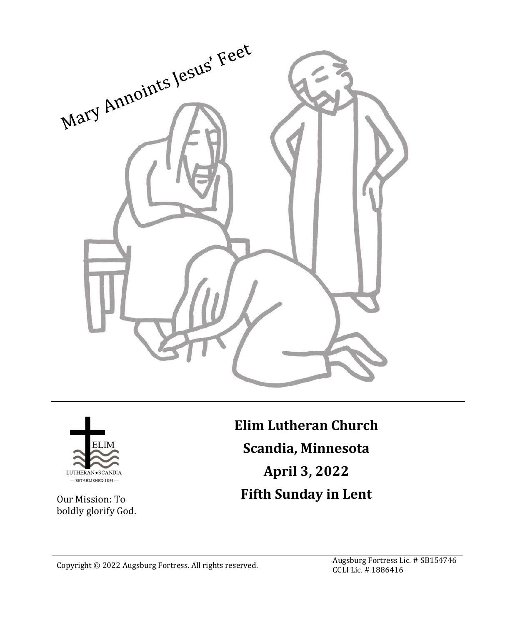



Our Mission: To boldly glorify God. **Elim Lutheran Church Scandia, Minnesota April 3, 2022 Fifth Sunday in Lent**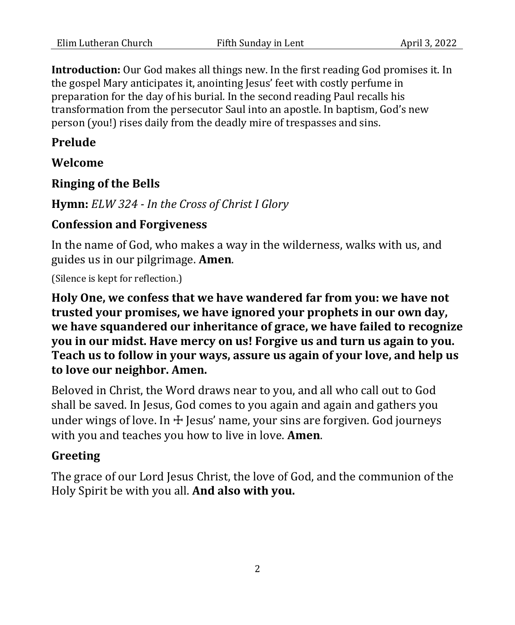**Introduction:** Our God makes all things new. In the first reading God promises it. In the gospel Mary anticipates it, anointing Jesus' feet with costly perfume in preparation for the day of his burial. In the second reading Paul recalls his transformation from the persecutor Saul into an apostle. In baptism, God's new person (you!) rises daily from the deadly mire of trespasses and sins.

### **Prelude**

#### **Welcome**

#### **Ringing of the Bells**

**Hymn:** *ELW 324 - In the Cross of Christ I Glory*

#### **Confession and Forgiveness**

In the name of God, who makes a way in the wilderness, walks with us, and guides us in our pilgrimage. **Amen**.

(Silence is kept for reflection.)

**Holy One, we confess that we have wandered far from you: we have not trusted your promises, we have ignored your prophets in our own day, we have squandered our inheritance of grace, we have failed to recognize you in our midst. Have mercy on us! Forgive us and turn us again to you. Teach us to follow in your ways, assure us again of your love, and help us to love our neighbor. Amen.**

Beloved in Christ, the Word draws near to you, and all who call out to God shall be saved. In Jesus, God comes to you again and again and gathers you under wings of love. In  $\pm$  Jesus' name, your sins are forgiven. God journeys with you and teaches you how to live in love. **Amen**.

## **Greeting**

The grace of our Lord Jesus Christ, the love of God, and the communion of the Holy Spirit be with you all. **And also with you.**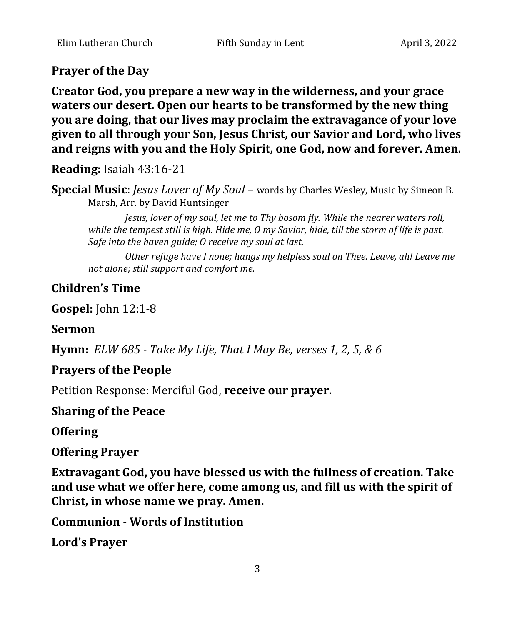### **Prayer of the Day**

**Creator God, you prepare a new way in the wilderness, and your grace waters our desert. Open our hearts to be transformed by the new thing you are doing, that our lives may proclaim the extravagance of your love given to all through your Son, Jesus Christ, our Savior and Lord, who lives and reigns with you and the Holy Spirit, one God, now and forever. Amen.**

**Reading:** Isaiah 43:16-21

**Special Music**: *Jesus Lover of My Soul* – words by Charles Wesley, Music by Simeon B. Marsh, Arr. by David Huntsinger

*Jesus, lover of my soul, let me to Thy bosom fly. While the nearer waters roll, while the tempest still is high. Hide me, O my Savior, hide, till the storm of life is past. Safe into the haven guide; O receive my soul at last.*

*Other refuge have I none; hangs my helpless soul on Thee. Leave, ah! Leave me not alone; still support and comfort me.*

### **Children's Time**

**Gospel:** John 12:1-8

**Sermon** 

**Hymn:** *ELW 685 - Take My Life, That I May Be, verses 1, 2, 5, & 6*

#### **Prayers of the People**

Petition Response: Merciful God, **receive our prayer.**

**Sharing of the Peace**

**Offering**

#### **Offering Prayer**

**Extravagant God, you have blessed us with the fullness of creation. Take and use what we offer here, come among us, and fill us with the spirit of Christ, in whose name we pray. Amen.**

**Communion - Words of Institution**

**Lord's Prayer**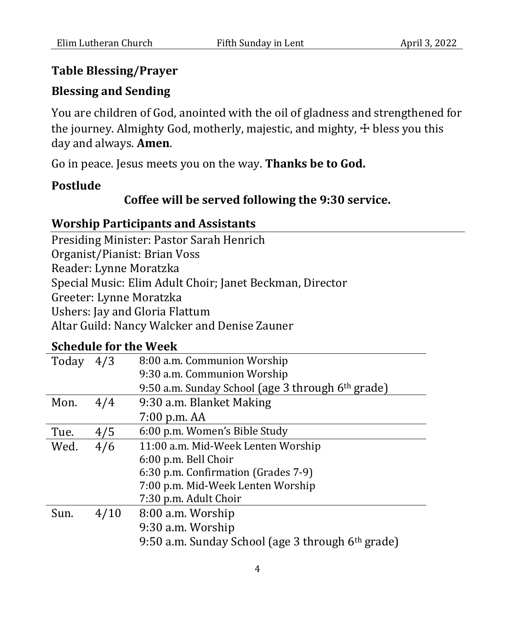# **Table Blessing/Prayer**

# **Blessing and Sending**

You are children of God, anointed with the oil of gladness and strengthened for the journey. Almighty God, motherly, majestic, and mighty,  $\pm$  bless you this day and always. **Amen**.

Go in peace. Jesus meets you on the way. **Thanks be to God.**

## **Postlude**

# **Coffee will be served following the 9:30 service.**

# **Worship Participants and Assistants**

Presiding Minister: Pastor Sarah Henrich Organist/Pianist: Brian Voss Reader: Lynne Moratzka Special Music: Elim Adult Choir; Janet Beckman, Director Greeter: Lynne Moratzka Ushers: Jay and Gloria Flattum Altar Guild: Nancy Walcker and Denise Zauner

# **Schedule for the Week**

| Today | 4/3  | 8:00 a.m. Communion Worship                                   |
|-------|------|---------------------------------------------------------------|
|       |      | 9:30 a.m. Communion Worship                                   |
|       |      | 9:50 a.m. Sunday School (age 3 through 6 <sup>th</sup> grade) |
| Mon.  | 4/4  | 9:30 a.m. Blanket Making                                      |
|       |      | $7:00$ p.m. $AA$                                              |
| Tue.  | 4/5  | 6:00 p.m. Women's Bible Study                                 |
| Wed.  | 4/6  | 11:00 a.m. Mid-Week Lenten Worship                            |
|       |      | 6:00 p.m. Bell Choir                                          |
|       |      | 6:30 p.m. Confirmation (Grades 7-9)                           |
|       |      | 7:00 p.m. Mid-Week Lenten Worship                             |
|       |      | 7:30 p.m. Adult Choir                                         |
| Sun.  | 4/10 | 8:00 a.m. Worship                                             |
|       |      | 9:30 a.m. Worship                                             |
|       |      | 9:50 a.m. Sunday School (age 3 through 6 <sup>th</sup> grade) |
|       |      |                                                               |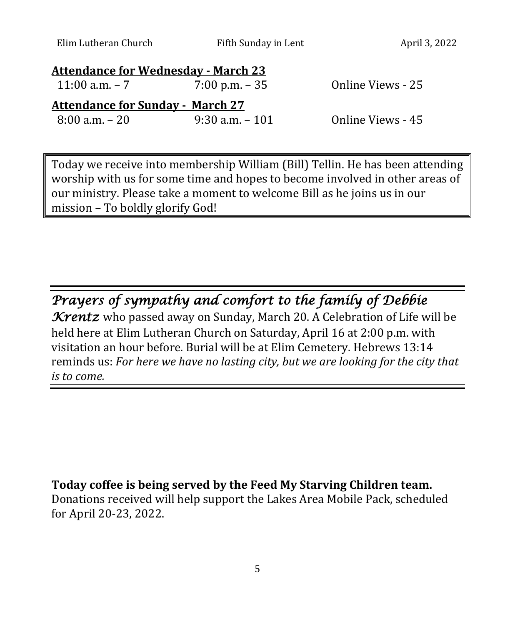Elim Lutheran Church Fifth Sunday in Lent April 3, 2022

| <b>Attendance for Wednesday - March 23</b> |                    |                   |  |  |  |
|--------------------------------------------|--------------------|-------------------|--|--|--|
| 11:00 a.m. $-7$                            | $7:00$ p.m. $-35$  | Online Views - 25 |  |  |  |
| <b>Attendance for Sunday - March 27</b>    |                    |                   |  |  |  |
| $8:00$ a.m. $-20$                          | $9:30$ a.m. $-101$ | Online Views - 45 |  |  |  |

Today we receive into membership William (Bill) Tellin. He has been attending worship with us for some time and hopes to become involved in other areas of our ministry. Please take a moment to welcome Bill as he joins us in our mission – To boldly glorify God!

*Prayers of sympathy and comfort to the family of Debbie Krentz* who passed away on Sunday, March 20. A Celebration of Life will be held here at Elim Lutheran Church on Saturday, April 16 at 2:00 p.m. with visitation an hour before. Burial will be at Elim Cemetery. Hebrews 13:14 reminds us: *For here we have no lasting city, but we are looking for the city that is to come.*

**Today coffee is being served by the Feed My Starving Children team.** Donations received will help support the Lakes Area Mobile Pack, scheduled for April 20-23, 2022.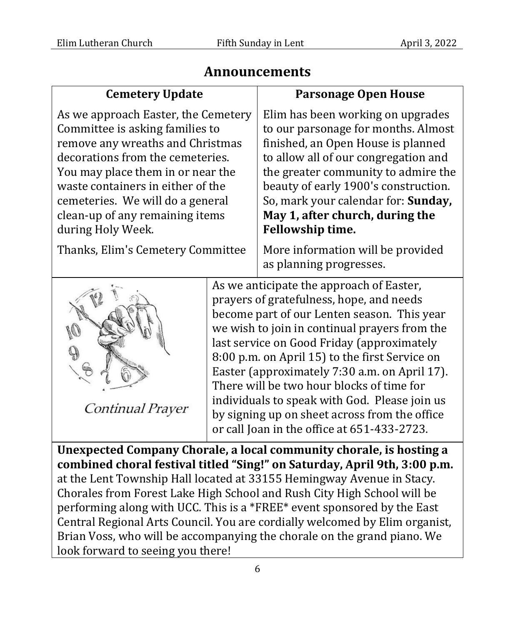# **Announcements**

| <b>Cemetery Update</b>                                                                                                                                                                                                                                                                                                                                                                                                                                                                                                                                                         | <b>Parsonage Open House</b>                                                                                                                                                                                                                                                                                                                                                                                                                                                                                                         |  |  |  |
|--------------------------------------------------------------------------------------------------------------------------------------------------------------------------------------------------------------------------------------------------------------------------------------------------------------------------------------------------------------------------------------------------------------------------------------------------------------------------------------------------------------------------------------------------------------------------------|-------------------------------------------------------------------------------------------------------------------------------------------------------------------------------------------------------------------------------------------------------------------------------------------------------------------------------------------------------------------------------------------------------------------------------------------------------------------------------------------------------------------------------------|--|--|--|
| As we approach Easter, the Cemetery<br>Committee is asking families to<br>remove any wreaths and Christmas<br>decorations from the cemeteries.<br>You may place them in or near the<br>waste containers in either of the<br>cemeteries. We will do a general<br>clean-up of any remaining items<br>during Holy Week.                                                                                                                                                                                                                                                           | Elim has been working on upgrades<br>to our parsonage for months. Almost<br>finished, an Open House is planned<br>to allow all of our congregation and<br>the greater community to admire the<br>beauty of early 1900's construction.<br>So, mark your calendar for: Sunday,<br>May 1, after church, during the<br>Fellowship time.                                                                                                                                                                                                 |  |  |  |
| Thanks, Elim's Cemetery Committee                                                                                                                                                                                                                                                                                                                                                                                                                                                                                                                                              | More information will be provided<br>as planning progresses.                                                                                                                                                                                                                                                                                                                                                                                                                                                                        |  |  |  |
| Continual Prayer                                                                                                                                                                                                                                                                                                                                                                                                                                                                                                                                                               | As we anticipate the approach of Easter,<br>prayers of gratefulness, hope, and needs<br>become part of our Lenten season. This year<br>we wish to join in continual prayers from the<br>last service on Good Friday (approximately<br>8:00 p.m. on April 15) to the first Service on<br>Easter (approximately 7:30 a.m. on April 17).<br>There will be two hour blocks of time for<br>individuals to speak with God. Please join us<br>by signing up on sheet across from the office<br>or call Joan in the office at 651-433-2723. |  |  |  |
| Unexpected Company Chorale, a local community chorale, is hosting a<br>combined choral festival titled "Sing!" on Saturday, April 9th, 3:00 p.m.<br>at the Lent Township Hall located at 33155 Hemingway Avenue in Stacy.<br>Chorales from Forest Lake High School and Rush City High School will be<br>performing along with UCC. This is a *FREE* event sponsored by the East<br>Central Regional Arts Council. You are cordially welcomed by Elim organist,<br>Brian Voss, who will be accompanying the chorale on the grand piano. We<br>look forward to seeing you there! |                                                                                                                                                                                                                                                                                                                                                                                                                                                                                                                                     |  |  |  |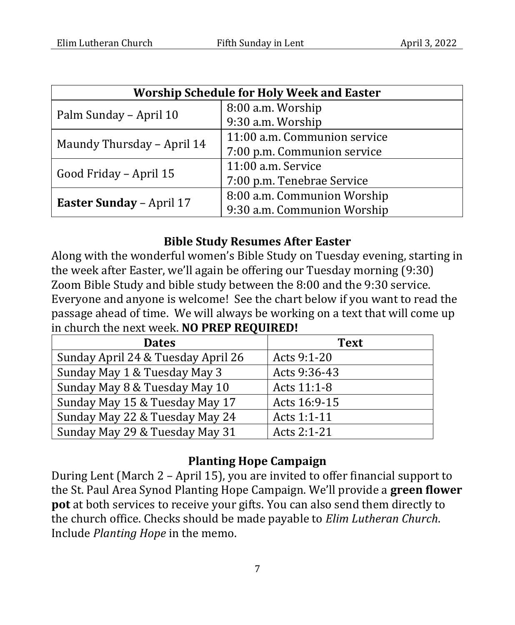| <b>Worship Schedule for Holy Week and Easter</b> |                              |  |  |  |
|--------------------------------------------------|------------------------------|--|--|--|
| Palm Sunday - April 10                           | 8:00 a.m. Worship            |  |  |  |
|                                                  | 9:30 a.m. Worship            |  |  |  |
| Maundy Thursday - April 14                       | 11:00 a.m. Communion service |  |  |  |
|                                                  | 7:00 p.m. Communion service  |  |  |  |
|                                                  | 11:00 a.m. Service           |  |  |  |
| Good Friday - April 15                           | 7:00 p.m. Tenebrae Service   |  |  |  |
|                                                  | 8:00 a.m. Communion Worship  |  |  |  |
| <b>Easter Sunday - April 17</b>                  | 9:30 a.m. Communion Worship  |  |  |  |

### **Bible Study Resumes After Easter**

Along with the wonderful women's Bible Study on Tuesday evening, starting in the week after Easter, we'll again be offering our Tuesday morning (9:30) Zoom Bible Study and bible study between the 8:00 and the 9:30 service. Everyone and anyone is welcome! See the chart below if you want to read the passage ahead of time. We will always be working on a text that will come up in church the next week. **NO PREP REQUIRED!**

| <b>Dates</b>                       | <b>Text</b>  |
|------------------------------------|--------------|
| Sunday April 24 & Tuesday April 26 | Acts 9:1-20  |
| Sunday May 1 & Tuesday May 3       | Acts 9:36-43 |
| Sunday May 8 & Tuesday May 10      | Acts 11:1-8  |
| Sunday May 15 & Tuesday May 17     | Acts 16:9-15 |
| Sunday May 22 & Tuesday May 24     | Acts 1:1-11  |
| Sunday May 29 & Tuesday May 31     | Acts 2:1-21  |

#### **Planting Hope Campaign**

During Lent (March 2 – April 15), you are invited to offer financial support to the St. Paul Area Synod Planting Hope Campaign. We'll provide a **green flower pot** at both services to receive your gifts. You can also send them directly to the church office. Checks should be made payable to *Elim Lutheran Church*. Include *Planting Hope* in the memo.